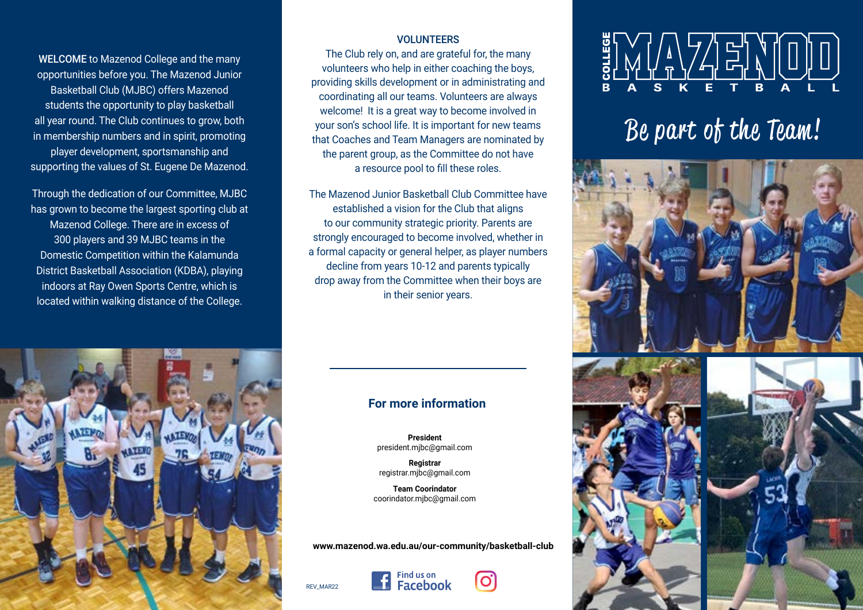WELCOME to Mazenod College and the many opportunities before you. The Mazenod Junior Basketball Club (MJBC) offers Mazenod students the opportunity to play basketball all year round. The Club continues to grow, both in membership numbers and in spirit, promoting player development, sportsmanship and supporting the values of St. Eugene De Mazenod.

Through the dedication of our Committee, MJBC has grown to become the largest sporting club at Mazenod College. There are in excess of 300 players and 39 MJBC teams in the Domestic Competition within the Kalamunda District Basketball Association (KDBA), playing indoors at Ray Owen Sports Centre, which is located within walking distance of the College.



### VOLUNTEERS

The Club rely on, and are grateful for, the many volunteers who help in either coaching the boys, providing skills development or in administrating and coordinating all our teams. Volunteers are always welcome! It is a great way to become involved in your son's school life. It is important for new teams that Coaches and Team Managers are nominated by the parent group, as the Committee do not have a resource pool to fill these roles.

The Mazenod Junior Basketball Club Committee have established a vision for the Club that aligns to our community strategic priority. Parents are strongly encouraged to become involved, whether in a formal capacity or general helper, as player numbers decline from years 10-12 and parents typically drop away from the Committee when their boys are in their senior years.

## **For more information**

**President**  president.mjbc@gmail.com

**Registrar** registrar.mjbc@gmail.com

**Team Coorindator** coorindator.mjbc@gmail.com

**www.mazenod.wa.edu.au/our-community/basketball-club**



REV\_MAR22





# Be part of the Team!